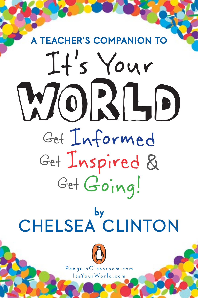## WORLD Get Informed Get Inspired & GetGoing! EACHER'S COMPANION A TEACHER'S COMPANION TO

### CHELSEA CLINTON by



PenguinClassroom.com

ItsYourWorld.com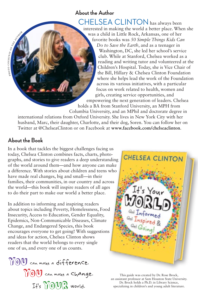#### **About the Author**

CHELSEA CLINTON has always been interested in making the world a better place. When she was a child in Little Rock, Arkansas, one of her favorite books was *50 Simple Things Kids Can Do to Save the Earth*, and as a teenager in Washington, DC, she led her school's service club. While at Stanford, Chelsea worked as a reading and writing tutor and volunteered at the Children's Hospital. Today, she is Vice Chair of the Bill, Hillary & Chelsea Clinton Foundation where she helps lead the work of the Foundation across its various initiatives, with a particular focus on work related to health, women and girls, creating service opportunities, and empowering the next generation of leaders. Chelsea

holds a BA from Stanford University, an MPH from Columbia University, and an MPhil and doctorate degree in international relations from Oxford University. She lives in New York City with her husband, Marc, their daughter, Charlotte, and their dog, Soren. You can follow her on Twitter at @ChelseaClinton or on Facebook at **www.facebook.com/chelseaclinton**.

#### **About the Book**

photo countesy or the authority of

In a book that tackles the biggest challenges facing us today, Chelsea Clinton combines facts, charts, photographs, and stories to give readers a deep understanding of the world around them—and how anyone can make a difference. With stories about children and teens who have made real changes, big and small—in their families, their communities, in our country and across the world—this book will inspire readers of all ages to do their part to make our world a better place.

In addition to informing and inspiring readers about topics including Poverty, Homelessness, Food Insecurity, Access to Education, Gender Equality, Epidemics, Non-Communicable Diseases, Climate Change, and Endangered Species, this book encourages everyone to get going! With suggestions and ideas for action, Chelsea Clinton shows readers that the world belongs to every single one of us, and every one of us counts.

YOU can make a difference. YOU can make a change. It's YOUR world.



This guide was created by Dr. Rose Brock, an assistant professor at Sam Houston State University. Dr. Brock holds a Ph.D. in Library Science, specializing in children's and young adult literature.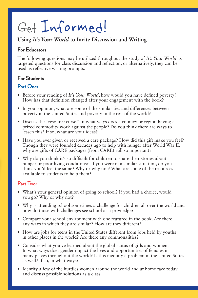### Get Informed!

#### **Using** *It's Your World* **to Invite Discussion and Writing**

#### **For Educators**

The following questions may be utilized throughout the study of *It's Your World* as targeted questions for class discussion and reflection, or alternatively, they can be used as reflective writing prompts.

#### **For Students**

#### **Part One:**

- Before your reading of *It's Your World*, how would you have defined poverty? How has that definition changed after your engagement with the book?
- In your opinion, what are some of the similarities and differences between poverty in the United States and poverty in the rest of the world?
- Discuss the "resource curse." In what ways does a country or region having a prized commodity work against the people? Do you think there are ways to lessen this? If so, what are your ideas?
- Have you ever given or received a care package? How did this gift make you feel? Though they were founded decades ago to help with hunger after World War II, why are gifts of CARE packages (from CARE) still so important?
- Why do you think it's so difficult for children to share their stories about hunger or poor living conditions? If you were in a similar situation, do you think you'd feel the same? Why or why not? What are some of the resources available to students to help them?

#### **Part Two:**

- What's your general opinion of going to school? If you had a choice, would you go? Why or why not?
- Why is attending school sometimes a challenge for children all over the world and how do those with challenges see school as a priviledge?
- Compare your school environment with one featured in the book. Are there any ways in which they are similar? How are they different?
- How are jobs for teens in the United States different from jobs held by youths in other places in the world? Are there any commonalities?
- Consider what you've learned about the global status of girls and women. In what ways does gender impact the lives and opportunities of females in many places throughout the world? Is this inequity a problem in the United States as well? If so, in what ways?
- Identify a few of the hurdles women around the world and at home face today, and discuss possible solutions as a class.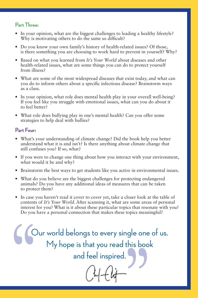#### **Part Three:**

- In your opinion, what are the biggest challenges to leading a healthy lifestyle? Why is motivating others to do the same so difficult?
- Do you know your own family's history of health-related issues? Of those, is there something you are choosing to work hard to prevent in yourself? Why?
- Based on what you learned from *It's Your World* about diseases and other health-related issues, what are some things you can do to protect yourself from illness?
- What are some of the most widespread diseases that exist today, and what can you do to inform others about a specific infectious disease? Brainstorm ways as a class.
- In your opinion, what role does mental health play in your overall well-being? If you feel like you struggle with emotional issues, what can you do about it to feel better?
- What role does bullying play in one's mental health? Can you offer some strategies to help deal with bullies?

#### **Part Four:**

- What's your understanding of climate change? Did the book help you better understand what it is and isn't? Is there anything about climate change that still confuses you? If so, what?
- If you were to change one thing about how you interact with your environment, what would it be and why?
- Brainstorm the best ways to get students like you active in environmental issues.
- What do you believe are the biggest challenges for protecting endangered animals? Do you have any additional ideas of measures that can be taken to protect them?
- In case you haven't read it cover to cover yet, take a closer look at the table of contents of *It's Your World*. After scanning it, what are some areas of personal interest for you? What is it about these particular topics that resonate with you? Do you have a personal connection that makes these topics meaningful?

"  $\frac{1}{1}$ Our world belongs to every single one of us. My hope is that you read this book and feel inspired.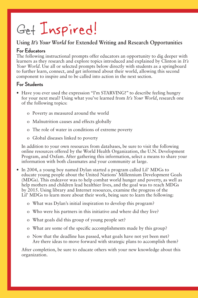### Get Inspired!

#### **Using** *It's Your World* **for Extended Writing and Research Opportunities**

#### **For Educators**

The following instructional prompts offer educators an opportunity to dig deeper with learners as they research and explore topics introduced and explained by Clinton in *It's Your World*. Use all or selected prompts below directly with students as a springboard to further learn, connect, and get informed about their world, allowing this second component to inspire and to be called into action in the next section.

#### **For Students**

- Have you ever used the expression "I'm STARVING!" to describe feeling hungry for your next meal? Using what you've learned from *It's Your World*, research one of the following topics:
	- o Poverty as measured around the world
	- o Malnutrition causes and effects globally
	- o The role of water in conditions of extreme poverty
	- o Global diseases linked to poverty

In addition to your own resources from databases, be sure to visit the following online resources offered by the World Health Organization, the U.N. Development Program, and Oxfam. After gathering this information, select a means to share your information with both classmates and your community at large.

- In 2004, a young boy named Dylan started a program called Lil' MDGs to educate young people about the United Nations' Millennium Development Goals (MDGs). This endeavor was to help combat world hunger and poverty, as well as help mothers and children lead healthier lives, and the goal was to reach MDGs by 2015. Using library and Internet resources, examine the progress of the Lil' MDGs to learn more about their work, being sure to learn the following:
	- o What was Dylan's initial inspiration to develop this program?
	- o Who were his partners in this initiative and where did they live?
	- o What goals did this group of young people set?
	- o What are some of the specific accomplishments made by this group?
	- o Now that the deadline has passed, what goals have not yet been met? Are there ideas to move forward with strategic plans to accomplish them?

After completion, be sure to educate others with your new knowledge about this organization.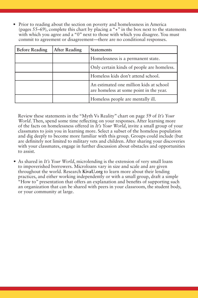• Prior to reading about the section on poverty and homelessness in America (pages 55–69), complete this chart by placing a "+" in the box next to the statements with which you agree and a "0" next to those with which you disagree. You must commit to agreement or disagreement—there are no conditional responses.

| <b>Before Reading</b> | <b>After Reading</b> | <b>Statements</b>                                                                  |
|-----------------------|----------------------|------------------------------------------------------------------------------------|
|                       |                      | Homelessness is a permanent state.                                                 |
|                       |                      | Only certain kinds of people are homeless.                                         |
|                       |                      | Homeless kids don't attend school.                                                 |
|                       |                      | An estimated one million kids at school<br>are homeless at some point in the year. |
|                       |                      | Homeless people are mentally ill.                                                  |

Review these statements in the "Myth Vs Reality" chart on page 59 of *It's Your World*. Then, spend some time reflecting on your responses. After learning more of the facts on homelessness offered in *It's Your World*, invite a small group of your classmates to join you in learning more. Select a subset of the homeless population and dig deeply to become more familiar with this group. Groups could include (but are definitely not limited to military vets and children. After sharing your discoveries with your classmates, engage in further discussion about obstacles and opportunities to assist.

• As shared in *It's Your World*, microlending is the extension of very small loans to impoverished borrowers. Microloans vary in size and scale and are given throughout the world. Research **KivaU.org** to learn more about their lending practices, and either working independently or with a small group, draft a simple "How to" presentation that offers an explanation and benefits of supporting such an organization that can be shared with peers in your classroom, the student body, or your community at large.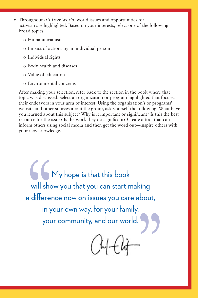- Throughout *It's Your World*, world issues and opportunities for activism are highlighted. Based on your interests, select one of the following broad topics:
	- o Humanitarianism
	- o Impact of actions by an individual person
	- o Individual rights
	- o Body health and diseases
	- o Value of education
	- o Environmental concerns

After making your selection, refer back to the section in the book where that topic was discussed. Select an organization or program highlighted that focuses their endeavors in your area of interest. Using the organization's or programs' website and other sources about the group, ask yourself the following: What have you learned about this subject? Why is it important or significant? Is this the best resource for the issue? Is the work they do significant? Create a tool that can inform others using social media and then get the word out—inspire others with your new knowledge.

My hope is that this book<br>will show you that you can start n<br>a difference now on issues you care<br>in your own way, for your fam<br>your community, and our wor will show you that you can start making a difference now on issues you care about, in your own way, for your family, your community, and our world.

 $\frac{1}{2}$  $\alpha$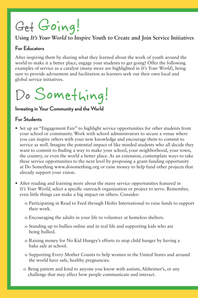## Get Going!

#### **Using** *It's Your World* **to Inspire Youth to Create and Join Service Initiatives**

#### **For Educators**

After inspiring them by sharing what they learned about the work of youth around the world to make it a better place, engage your students to get going! Offer the following examples of service as a catalyst (many more are highlighted in *It's Your World*), being sure to provide advisement and facilitation as learners seek out their own local and global service initiatives.

### Do Something!

#### **Investing in Your Community and the World**

#### **For Students**

- Set up an "Engagement Fair" to highlight service opportunities for other students from your school or community. Work with school administrators to secure a venue where you can inspire others with your new knowledge and encourage them to commit to service as well. Imagine the potential impact of like minded students who all decide they want to commit to finding a way to make your school, your neighborhood, your town, the country, or even the world a better place. As an extension, contemplate ways to take these service opportunities to the next level by proposing a grant-funding opportunity at Do Something www.dosomething.org or raise money to help fund other projects that already support your vision.
- After reading and learning more about the many service opportunities featured in *It's Your World*, select a specific outreach organization or project to serve. Remember, even little things can make a big impact on others. Consider:
	- o Participating in Read to Feed through Heifer International to raise funds to support their work.
	- o Encouraging the adults in your life to volunteer at homeless shelters.
	- o Standing up to bullies online and in real life and supporting kids who are being bullied.
	- o Raising money for No Kid Hungry's efforts to stop child hunger by having a bake sale at school.
	- o Supporting Every Mother Counts to help women in the United States and around the world have safe, healthy pregnancies.
	- o Being patient and kind to anyone you know with autism, Alzheimer's, or any challenge that may affect how people communicate and interact.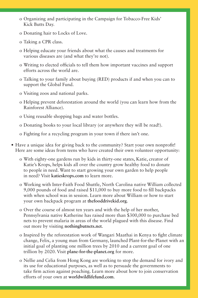- o Organizing and participating in the Campaign for Tobacco-Free Kids' Kick Butts Day.
- o Donating hair to Locks of Love.
- o Taking a CPR class.
- o Helping educate your friends about what the causes and treatments for various diseases are (and what they're not).
- o Writing to elected officials to tell them how important vaccines and support efforts across the world are.
- o Talking to your family about buying (RED) products if and when you can to support the Global Fund.
- o Visiting zoos and national parks.
- o Helping prevent deforestation around the world (you can learn how from the Rainforest Alliance).
- o Using reusable shopping bags and water bottles.
- o Donating books to your local library (or anywhere they will be read!).
- o Fighting for a recycling program in your town if there isn't one.
- Have a unique idea for giving back to the community? Start your own nonprofit! Here are some ideas from teens who have created their own volunteer opportunity:
	- o With eighty-one gardens run by kids in thirty-one states, Katie, creator of Katie's Krops, helps kids all over the country grow healthy food to donate to people in need. Want to start growing your own garden to help people in need? Visit **katieskrops.com** to learn more.
	- o Working with Inter-Faith Food Shuttle, North Carolina native William collected 9,000 pounds of food and raised \$11,000 to buy more food to fill backpacks with when school was in session. Learn more about William or how to start your own backpack program at **thefooddrivekid.org**.
	- o Over the course of almost ten years and with the help of her mother, Pennsylvania native Katherine has raised more than \$300,000 to purchase bed nets to prevent malaria in areas of the world plagued with this disease. Find out more by visiting **nothingbutnets.net**.
	- o Inspired by the reforestation work of Wangari Maathai in Kenya to fight climate change, Felix, a young man from Germany, launched Plant-for-the-Planet with an initial goal of planting one million trees by 2010 and a current goal of one trillion by 2020. Visit **plane-for-the-planet.org** for more.
	- o Nellie and Celia from Hong Kong are working to stop the demand for ivory and its use for educational purposes, as well as to persuade the governments to take firm action against poaching. Learn more about how to join conservation efforts of your own at **worldwildlifefund.com**.